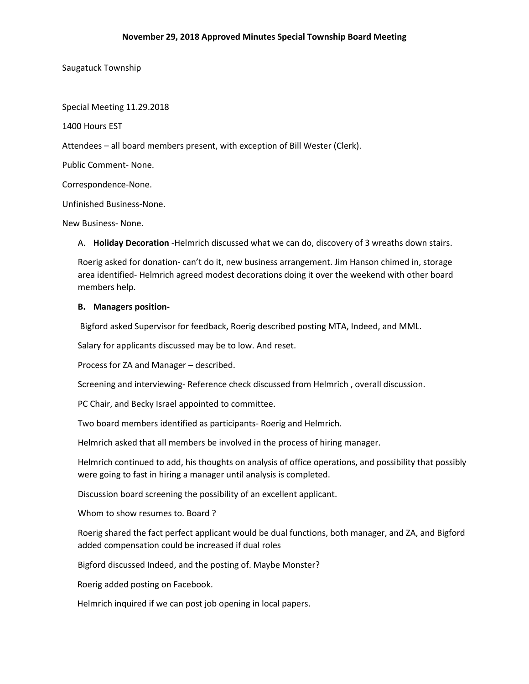Saugatuck Township

Special Meeting 11.29.2018

1400 Hours EST

Attendees – all board members present, with exception of Bill Wester (Clerk).

Public Comment- None.

Correspondence-None.

Unfinished Business-None.

New Business- None.

A. **Holiday Decoration** -Helmrich discussed what we can do, discovery of 3 wreaths down stairs.

Roerig asked for donation- can't do it, new business arrangement. Jim Hanson chimed in, storage area identified- Helmrich agreed modest decorations doing it over the weekend with other board members help.

# **B. Managers position-**

Bigford asked Supervisor for feedback, Roerig described posting MTA, Indeed, and MML.

Salary for applicants discussed may be to low. And reset.

Process for ZA and Manager – described.

Screening and interviewing- Reference check discussed from Helmrich , overall discussion.

PC Chair, and Becky Israel appointed to committee.

Two board members identified as participants- Roerig and Helmrich.

Helmrich asked that all members be involved in the process of hiring manager.

Helmrich continued to add, his thoughts on analysis of office operations, and possibility that possibly were going to fast in hiring a manager until analysis is completed.

Discussion board screening the possibility of an excellent applicant.

Whom to show resumes to. Board ?

Roerig shared the fact perfect applicant would be dual functions, both manager, and ZA, and Bigford added compensation could be increased if dual roles

Bigford discussed Indeed, and the posting of. Maybe Monster?

Roerig added posting on Facebook.

Helmrich inquired if we can post job opening in local papers.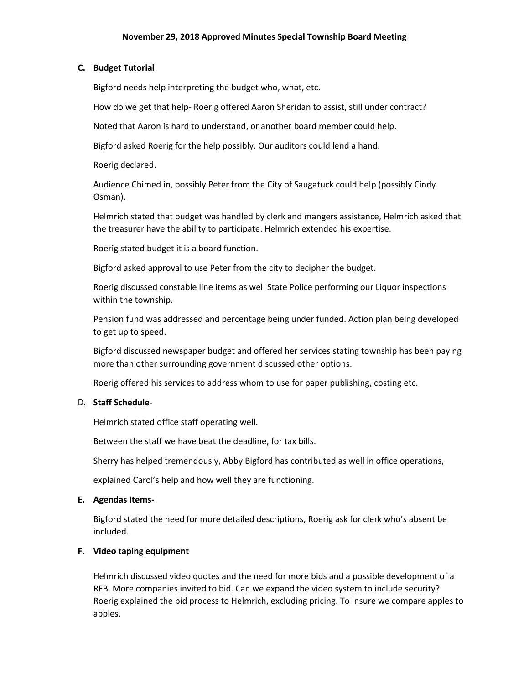# **C. Budget Tutorial**

Bigford needs help interpreting the budget who, what, etc.

How do we get that help- Roerig offered Aaron Sheridan to assist, still under contract?

Noted that Aaron is hard to understand, or another board member could help.

Bigford asked Roerig for the help possibly. Our auditors could lend a hand.

Roerig declared.

Audience Chimed in, possibly Peter from the City of Saugatuck could help (possibly Cindy Osman).

Helmrich stated that budget was handled by clerk and mangers assistance, Helmrich asked that the treasurer have the ability to participate. Helmrich extended his expertise.

Roerig stated budget it is a board function.

Bigford asked approval to use Peter from the city to decipher the budget.

Roerig discussed constable line items as well State Police performing our Liquor inspections within the township.

Pension fund was addressed and percentage being under funded. Action plan being developed to get up to speed.

Bigford discussed newspaper budget and offered her services stating township has been paying more than other surrounding government discussed other options.

Roerig offered his services to address whom to use for paper publishing, costing etc.

#### D. **Staff Schedule**-

Helmrich stated office staff operating well.

Between the staff we have beat the deadline, for tax bills.

Sherry has helped tremendously, Abby Bigford has contributed as well in office operations,

explained Carol's help and how well they are functioning.

#### **E. Agendas Items-**

Bigford stated the need for more detailed descriptions, Roerig ask for clerk who's absent be included.

# **F. Video taping equipment**

Helmrich discussed video quotes and the need for more bids and a possible development of a RFB. More companies invited to bid. Can we expand the video system to include security? Roerig explained the bid process to Helmrich, excluding pricing. To insure we compare apples to apples.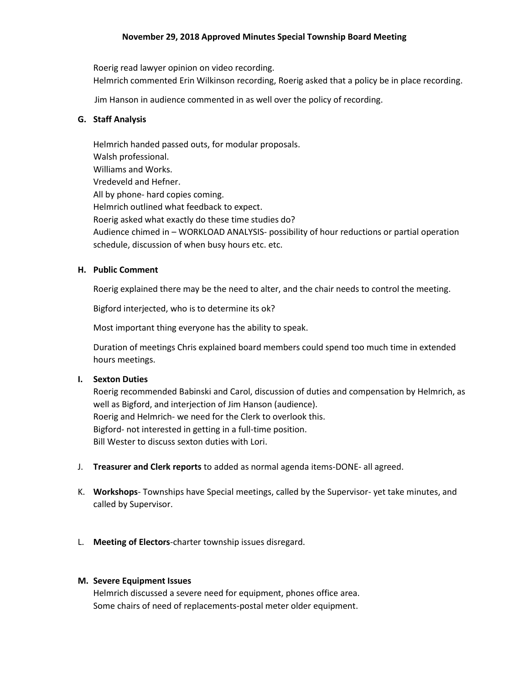# **November 29, 2018 Approved Minutes Special Township Board Meeting**

Roerig read lawyer opinion on video recording. Helmrich commented Erin Wilkinson recording, Roerig asked that a policy be in place recording.

Jim Hanson in audience commented in as well over the policy of recording.

#### **G. Staff Analysis**

Helmrich handed passed outs, for modular proposals. Walsh professional. Williams and Works. Vredeveld and Hefner. All by phone- hard copies coming. Helmrich outlined what feedback to expect. Roerig asked what exactly do these time studies do? Audience chimed in – WORKLOAD ANALYSIS- possibility of hour reductions or partial operation schedule, discussion of when busy hours etc. etc.

## **H. Public Comment**

Roerig explained there may be the need to alter, and the chair needs to control the meeting.

Bigford interjected, who is to determine its ok?

Most important thing everyone has the ability to speak.

Duration of meetings Chris explained board members could spend too much time in extended hours meetings.

#### **I. Sexton Duties**

Roerig recommended Babinski and Carol, discussion of duties and compensation by Helmrich, as well as Bigford, and interjection of Jim Hanson (audience). Roerig and Helmrich- we need for the Clerk to overlook this. Bigford- not interested in getting in a full-time position. Bill Wester to discuss sexton duties with Lori.

- J. **Treasurer and Clerk reports** to added as normal agenda items-DONE- all agreed.
- K. **Workshops** Townships have Special meetings, called by the Supervisor- yet take minutes, and called by Supervisor.
- L. **Meeting of Electors**-charter township issues disregard.

#### **M. Severe Equipment Issues**

Helmrich discussed a severe need for equipment, phones office area. Some chairs of need of replacements-postal meter older equipment.